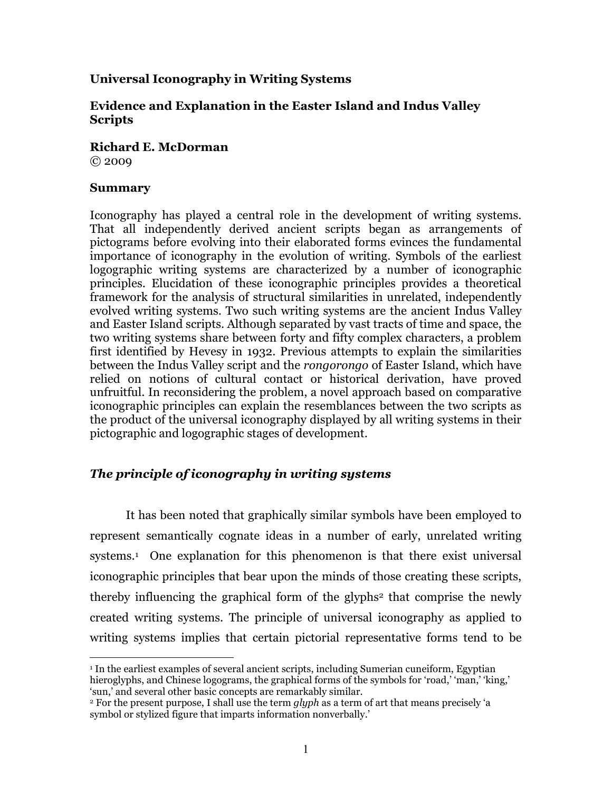# Universal Iconography in Writing Systems

# Evidence and Explanation in the Easter Island and Indus Valley Scripts

Richard E. McDorman © 2009

## **Summary**

l.

Iconography has played a central role in the development of writing systems. That all independently derived ancient scripts began as arrangements of pictograms before evolving into their elaborated forms evinces the fundamental importance of iconography in the evolution of writing. Symbols of the earliest logographic writing systems are characterized by a number of iconographic principles. Elucidation of these iconographic principles provides a theoretical framework for the analysis of structural similarities in unrelated, independently evolved writing systems. Two such writing systems are the ancient Indus Valley and Easter Island scripts. Although separated by vast tracts of time and space, the two writing systems share between forty and fifty complex characters, a problem first identified by Hevesy in 1932. Previous attempts to explain the similarities between the Indus Valley script and the rongorongo of Easter Island, which have relied on notions of cultural contact or historical derivation, have proved unfruitful. In reconsidering the problem, a novel approach based on comparative iconographic principles can explain the resemblances between the two scripts as the product of the universal iconography displayed by all writing systems in their pictographic and logographic stages of development.

# The principle of iconography in writing systems

It has been noted that graphically similar symbols have been employed to represent semantically cognate ideas in a number of early, unrelated writing systems.<sup>1</sup> One explanation for this phenomenon is that there exist universal iconographic principles that bear upon the minds of those creating these scripts, thereby influencing the graphical form of the glyphs <sup>2</sup> that comprise the newly created writing systems. The principle of universal iconography as applied to writing systems implies that certain pictorial representative forms tend to be

<sup>1</sup> In the earliest examples of several ancient scripts, including Sumerian cuneiform, Egyptian hieroglyphs, and Chinese logograms, the graphical forms of the symbols for 'road,' 'man,' 'king,' 'sun,' and several other basic concepts are remarkably similar.

<sup>&</sup>lt;sup>2</sup> For the present purpose, I shall use the term glyph as a term of art that means precisely 'a symbol or stylized figure that imparts information nonverbally.'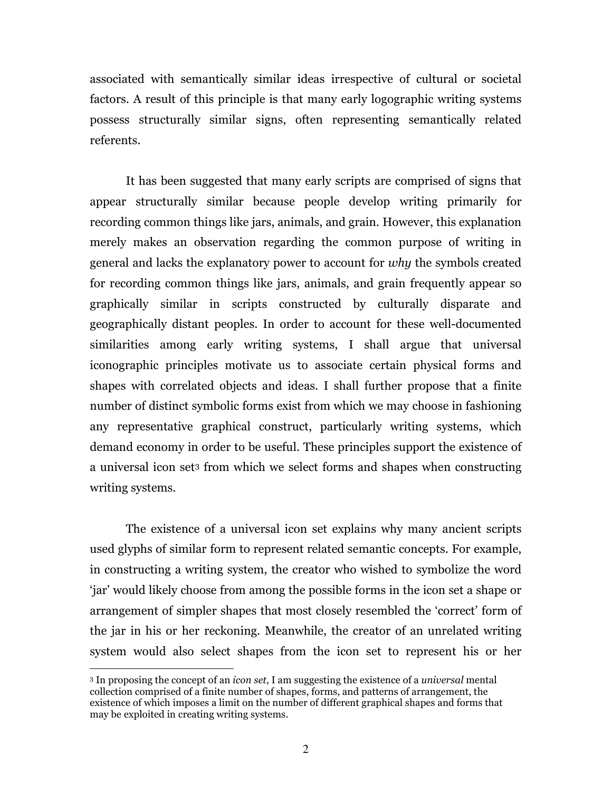associated with semantically similar ideas irrespective of cultural or societal factors. A result of this principle is that many early logographic writing systems possess structurally similar signs, often representing semantically related referents.

It has been suggested that many early scripts are comprised of signs that appear structurally similar because people develop writing primarily for recording common things like jars, animals, and grain. However, this explanation merely makes an observation regarding the common purpose of writing in general and lacks the explanatory power to account for why the symbols created for recording common things like jars, animals, and grain frequently appear so graphically similar in scripts constructed by culturally disparate and geographically distant peoples. In order to account for these well-documented similarities among early writing systems, I shall argue that universal iconographic principles motivate us to associate certain physical forms and shapes with correlated objects and ideas. I shall further propose that a finite number of distinct symbolic forms exist from which we may choose in fashioning any representative graphical construct, particularly writing systems, which demand economy in order to be useful. These principles support the existence of a universal icon set3 from which we select forms and shapes when constructing writing systems.

The existence of a universal icon set explains why many ancient scripts used glyphs of similar form to represent related semantic concepts. For example, in constructing a writing system, the creator who wished to symbolize the word 'jar' would likely choose from among the possible forms in the icon set a shape or arrangement of simpler shapes that most closely resembled the 'correct' form of the jar in his or her reckoning. Meanwhile, the creator of an unrelated writing system would also select shapes from the icon set to represent his or her

<sup>&</sup>lt;sup>3</sup> In proposing the concept of an *icon set*, I am suggesting the existence of a *universal* mental collection comprised of a finite number of shapes, forms, and patterns of arrangement, the existence of which imposes a limit on the number of different graphical shapes and forms that may be exploited in creating writing systems.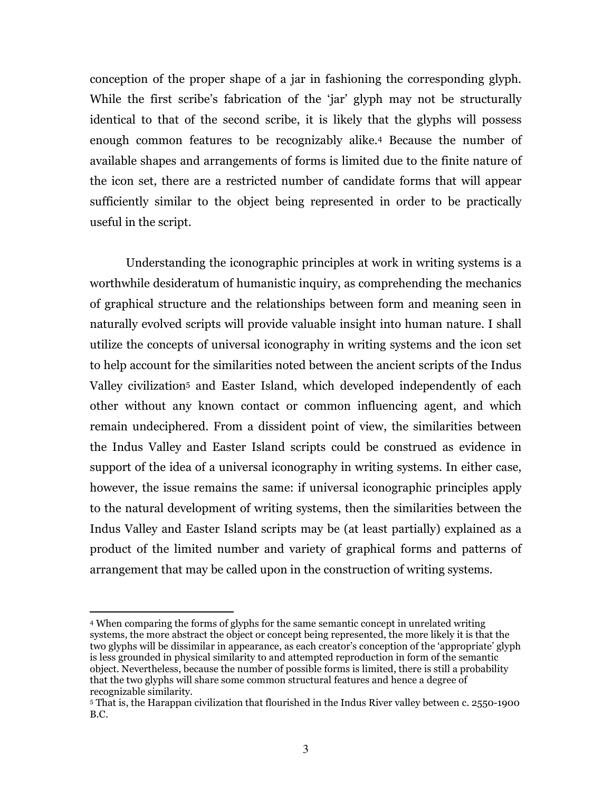conception of the proper shape of a jar in fashioning the corresponding glyph. While the first scribe's fabrication of the 'jar' glyph may not be structurally identical to that of the second scribe, it is likely that the glyphs will possess enough common features to be recognizably alike.4 Because the number of available shapes and arrangements of forms is limited due to the finite nature of the icon set, there are a restricted number of candidate forms that will appear sufficiently similar to the object being represented in order to be practically useful in the script.

Understanding the iconographic principles at work in writing systems is a worthwhile desideratum of humanistic inquiry, as comprehending the mechanics of graphical structure and the relationships between form and meaning seen in naturally evolved scripts will provide valuable insight into human nature. I shall utilize the concepts of universal iconography in writing systems and the icon set to help account for the similarities noted between the ancient scripts of the Indus Valley civilization5 and Easter Island, which developed independently of each other without any known contact or common influencing agent, and which remain undeciphered. From a dissident point of view, the similarities between the Indus Valley and Easter Island scripts could be construed as evidence in support of the idea of a universal iconography in writing systems. In either case, however, the issue remains the same: if universal iconographic principles apply to the natural development of writing systems, then the similarities between the Indus Valley and Easter Island scripts may be (at least partially) explained as a product of the limited number and variety of graphical forms and patterns of arrangement that may be called upon in the construction of writing systems.

<sup>4</sup> When comparing the forms of glyphs for the same semantic concept in unrelated writing systems, the more abstract the object or concept being represented, the more likely it is that the two glyphs will be dissimilar in appearance, as each creator's conception of the 'appropriate' glyph is less grounded in physical similarity to and attempted reproduction in form of the semantic object. Nevertheless, because the number of possible forms is limited, there is still a probability that the two glyphs will share some common structural features and hence a degree of recognizable similarity.

<sup>5</sup> That is, the Harappan civilization that flourished in the Indus River valley between c. 2550-1900 B.C.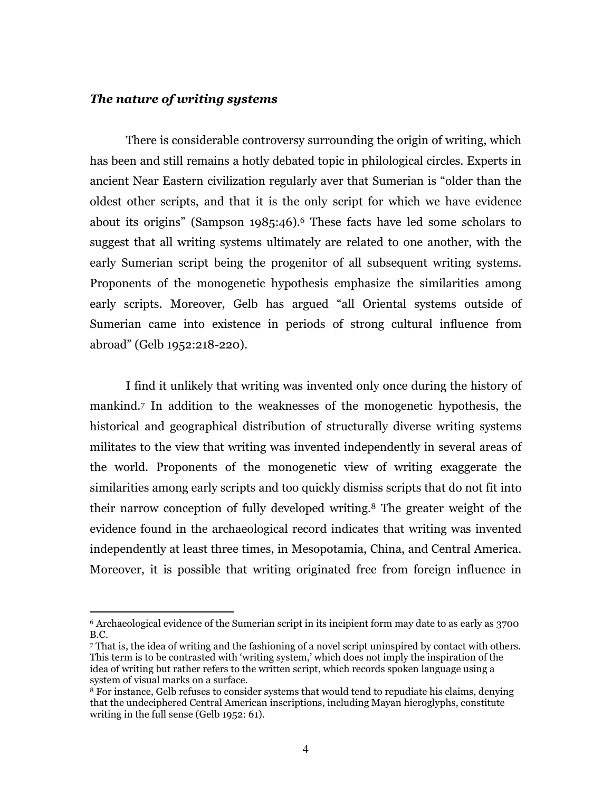#### The nature of writing systems

 $\overline{a}$ 

 There is considerable controversy surrounding the origin of writing, which has been and still remains a hotly debated topic in philological circles. Experts in ancient Near Eastern civilization regularly aver that Sumerian is "older than the oldest other scripts, and that it is the only script for which we have evidence about its origins" (Sampson 1985:46).6 These facts have led some scholars to suggest that all writing systems ultimately are related to one another, with the early Sumerian script being the progenitor of all subsequent writing systems. Proponents of the monogenetic hypothesis emphasize the similarities among early scripts. Moreover, Gelb has argued "all Oriental systems outside of Sumerian came into existence in periods of strong cultural influence from abroad" (Gelb 1952:218-220).

I find it unlikely that writing was invented only once during the history of mankind.7 In addition to the weaknesses of the monogenetic hypothesis, the historical and geographical distribution of structurally diverse writing systems militates to the view that writing was invented independently in several areas of the world. Proponents of the monogenetic view of writing exaggerate the similarities among early scripts and too quickly dismiss scripts that do not fit into their narrow conception of fully developed writing.8 The greater weight of the evidence found in the archaeological record indicates that writing was invented independently at least three times, in Mesopotamia, China, and Central America. Moreover, it is possible that writing originated free from foreign influence in

<sup>6</sup> Archaeological evidence of the Sumerian script in its incipient form may date to as early as 3700 B.C.

<sup>7</sup> That is, the idea of writing and the fashioning of a novel script uninspired by contact with others. This term is to be contrasted with 'writing system,' which does not imply the inspiration of the idea of writing but rather refers to the written script, which records spoken language using a system of visual marks on a surface.

<sup>&</sup>lt;sup>8</sup> For instance, Gelb refuses to consider systems that would tend to repudiate his claims, denying that the undeciphered Central American inscriptions, including Mayan hieroglyphs, constitute writing in the full sense (Gelb 1952: 61).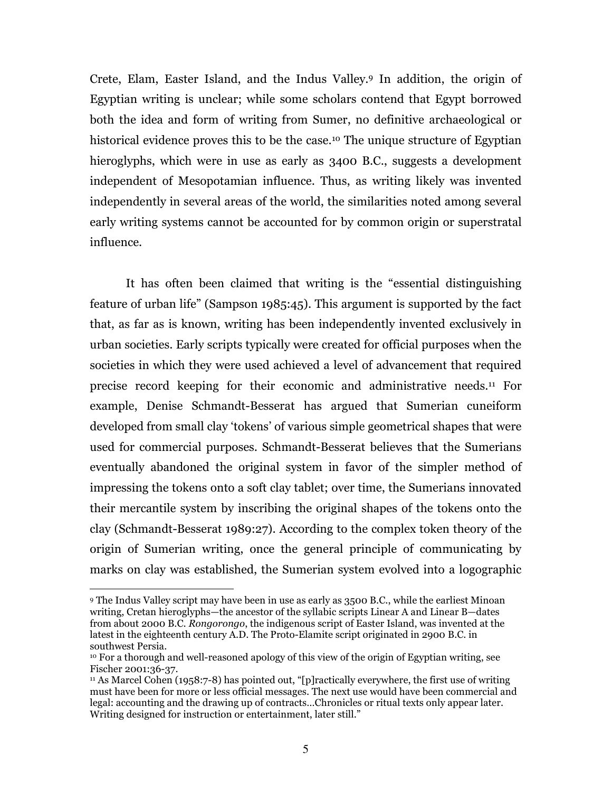Crete, Elam, Easter Island, and the Indus Valley.9 In addition, the origin of Egyptian writing is unclear; while some scholars contend that Egypt borrowed both the idea and form of writing from Sumer, no definitive archaeological or historical evidence proves this to be the case.<sup>10</sup> The unique structure of Egyptian hieroglyphs, which were in use as early as 3400 B.C., suggests a development independent of Mesopotamian influence. Thus, as writing likely was invented independently in several areas of the world, the similarities noted among several early writing systems cannot be accounted for by common origin or superstratal influence.

It has often been claimed that writing is the "essential distinguishing feature of urban life" (Sampson 1985:45). This argument is supported by the fact that, as far as is known, writing has been independently invented exclusively in urban societies. Early scripts typically were created for official purposes when the societies in which they were used achieved a level of advancement that required precise record keeping for their economic and administrative needs.11 For example, Denise Schmandt-Besserat has argued that Sumerian cuneiform developed from small clay 'tokens' of various simple geometrical shapes that were used for commercial purposes. Schmandt-Besserat believes that the Sumerians eventually abandoned the original system in favor of the simpler method of impressing the tokens onto a soft clay tablet; over time, the Sumerians innovated their mercantile system by inscribing the original shapes of the tokens onto the clay (Schmandt-Besserat 1989:27). According to the complex token theory of the origin of Sumerian writing, once the general principle of communicating by marks on clay was established, the Sumerian system evolved into a logographic

<sup>9</sup> The Indus Valley script may have been in use as early as 3500 B.C., while the earliest Minoan writing, Cretan hieroglyphs—the ancestor of the syllabic scripts Linear A and Linear B—dates from about 2000 B.C. *Rongorongo*, the indigenous script of Easter Island, was invented at the latest in the eighteenth century A.D. The Proto-Elamite script originated in 2900 B.C. in southwest Persia.

<sup>10</sup> For a thorough and well-reasoned apology of this view of the origin of Egyptian writing, see Fischer 2001:36-37.

<sup>&</sup>lt;sup>11</sup> As Marcel Cohen (1958:7-8) has pointed out, "[p]ractically everywhere, the first use of writing must have been for more or less official messages. The next use would have been commercial and legal: accounting and the drawing up of contracts…Chronicles or ritual texts only appear later. Writing designed for instruction or entertainment, later still."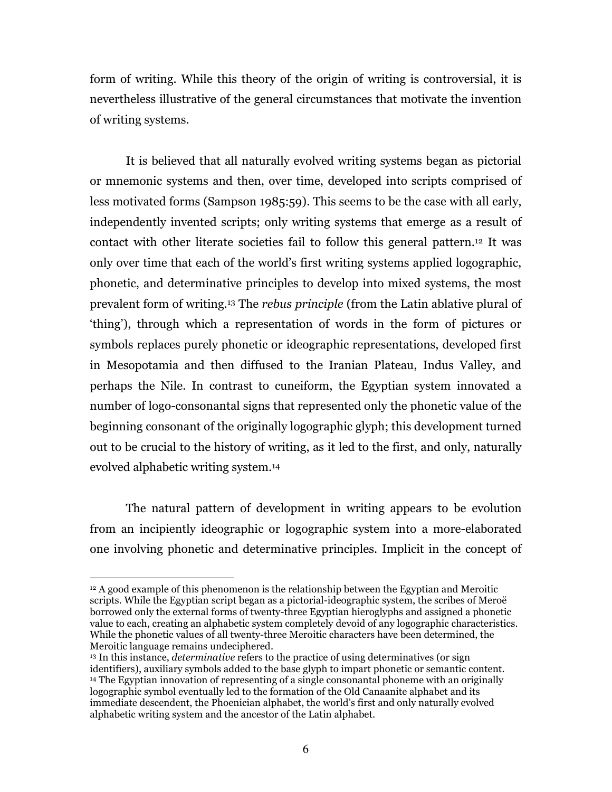form of writing. While this theory of the origin of writing is controversial, it is nevertheless illustrative of the general circumstances that motivate the invention of writing systems.

It is believed that all naturally evolved writing systems began as pictorial or mnemonic systems and then, over time, developed into scripts comprised of less motivated forms (Sampson 1985:59). This seems to be the case with all early, independently invented scripts; only writing systems that emerge as a result of contact with other literate societies fail to follow this general pattern.12 It was only over time that each of the world's first writing systems applied logographic, phonetic, and determinative principles to develop into mixed systems, the most prevalent form of writing.13 The rebus principle (from the Latin ablative plural of 'thing'), through which a representation of words in the form of pictures or symbols replaces purely phonetic or ideographic representations, developed first in Mesopotamia and then diffused to the Iranian Plateau, Indus Valley, and perhaps the Nile. In contrast to cuneiform, the Egyptian system innovated a number of logo-consonantal signs that represented only the phonetic value of the beginning consonant of the originally logographic glyph; this development turned out to be crucial to the history of writing, as it led to the first, and only, naturally evolved alphabetic writing system.<sup>14</sup>

The natural pattern of development in writing appears to be evolution from an incipiently ideographic or logographic system into a more-elaborated one involving phonetic and determinative principles. Implicit in the concept of

<sup>12</sup> A good example of this phenomenon is the relationship between the Egyptian and Meroitic scripts. While the Egyptian script began as a pictorial-ideographic system, the scribes of Meroë borrowed only the external forms of twenty-three Egyptian hieroglyphs and assigned a phonetic value to each, creating an alphabetic system completely devoid of any logographic characteristics. While the phonetic values of all twenty-three Meroitic characters have been determined, the Meroitic language remains undeciphered.

<sup>&</sup>lt;sup>13</sup> In this instance, *determinative* refers to the practice of using determinatives (or sign identifiers), auxiliary symbols added to the base glyph to impart phonetic or semantic content. <sup>14</sup> The Egyptian innovation of representing of a single consonantal phoneme with an originally logographic symbol eventually led to the formation of the Old Canaanite alphabet and its immediate descendent, the Phoenician alphabet, the world's first and only naturally evolved alphabetic writing system and the ancestor of the Latin alphabet.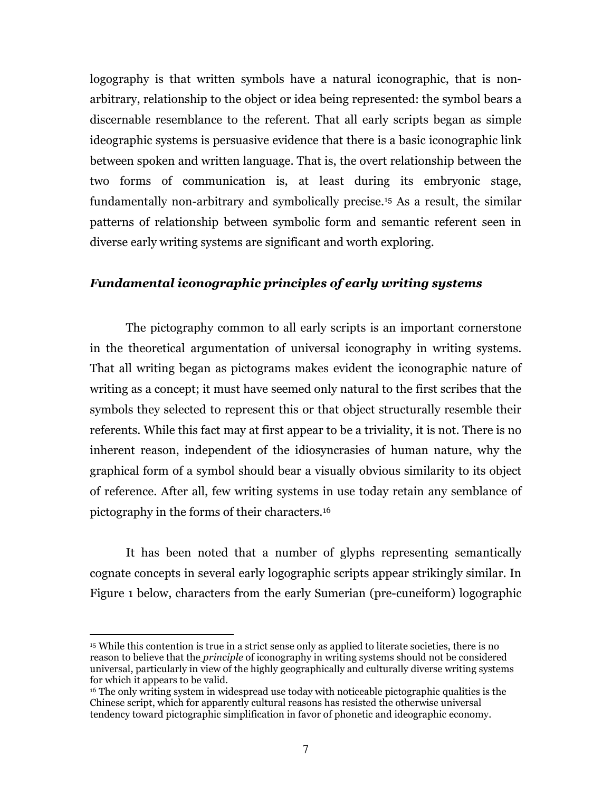logography is that written symbols have a natural iconographic, that is nonarbitrary, relationship to the object or idea being represented: the symbol bears a discernable resemblance to the referent. That all early scripts began as simple ideographic systems is persuasive evidence that there is a basic iconographic link between spoken and written language. That is, the overt relationship between the two forms of communication is, at least during its embryonic stage, fundamentally non-arbitrary and symbolically precise.15 As a result, the similar patterns of relationship between symbolic form and semantic referent seen in diverse early writing systems are significant and worth exploring.

#### Fundamental iconographic principles of early writing systems

 The pictography common to all early scripts is an important cornerstone in the theoretical argumentation of universal iconography in writing systems. That all writing began as pictograms makes evident the iconographic nature of writing as a concept; it must have seemed only natural to the first scribes that the symbols they selected to represent this or that object structurally resemble their referents. While this fact may at first appear to be a triviality, it is not. There is no inherent reason, independent of the idiosyncrasies of human nature, why the graphical form of a symbol should bear a visually obvious similarity to its object of reference. After all, few writing systems in use today retain any semblance of pictography in the forms of their characters.<sup>16</sup>

It has been noted that a number of glyphs representing semantically cognate concepts in several early logographic scripts appear strikingly similar. In Figure 1 below, characters from the early Sumerian (pre-cuneiform) logographic

<sup>15</sup> While this contention is true in a strict sense only as applied to literate societies, there is no reason to believe that the *principle* of iconography in writing systems should not be considered universal, particularly in view of the highly geographically and culturally diverse writing systems for which it appears to be valid.

<sup>16</sup> The only writing system in widespread use today with noticeable pictographic qualities is the Chinese script, which for apparently cultural reasons has resisted the otherwise universal tendency toward pictographic simplification in favor of phonetic and ideographic economy.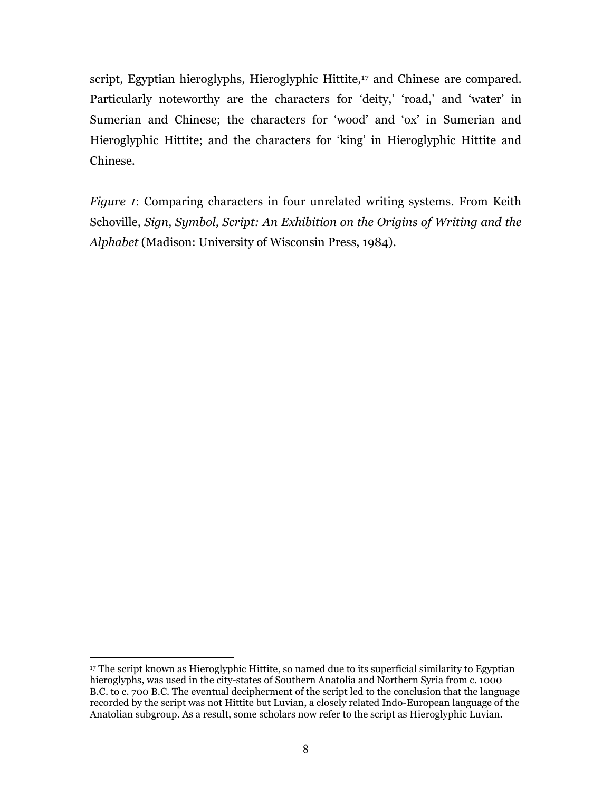script, Egyptian hieroglyphs, Hieroglyphic Hittite,<sup>17</sup> and Chinese are compared. Particularly noteworthy are the characters for 'deity,' 'road,' and 'water' in Sumerian and Chinese; the characters for 'wood' and 'ox' in Sumerian and Hieroglyphic Hittite; and the characters for 'king' in Hieroglyphic Hittite and Chinese.

Figure 1: Comparing characters in four unrelated writing systems. From Keith Schoville, Sign, Symbol, Script: An Exhibition on the Origins of Writing and the Alphabet (Madison: University of Wisconsin Press, 1984).

<sup>17</sup> The script known as Hieroglyphic Hittite, so named due to its superficial similarity to Egyptian hieroglyphs, was used in the city-states of Southern Anatolia and Northern Syria from c. 1000 B.C. to c. 700 B.C. The eventual decipherment of the script led to the conclusion that the language recorded by the script was not Hittite but Luvian, a closely related Indo-European language of the Anatolian subgroup. As a result, some scholars now refer to the script as Hieroglyphic Luvian.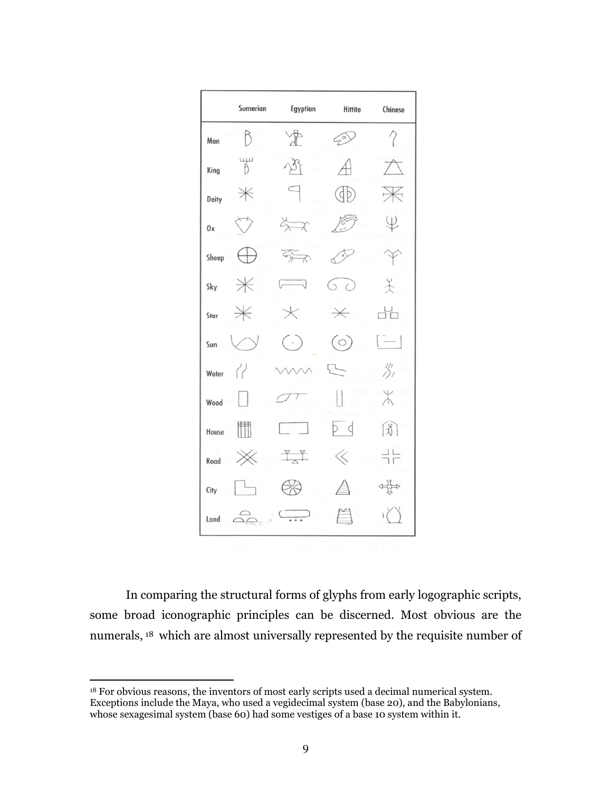

In comparing the structural forms of glyphs from early logographic scripts, some broad iconographic principles can be discerned. Most obvious are the numerals, 18 which are almost universally represented by the requisite number of

<sup>&</sup>lt;sup>18</sup> For obvious reasons, the inventors of most early scripts used a decimal numerical system. Exceptions include the Maya, who used a vegidecimal system (base 20), and the Babylonians, whose sexagesimal system (base 60) had some vestiges of a base 10 system within it.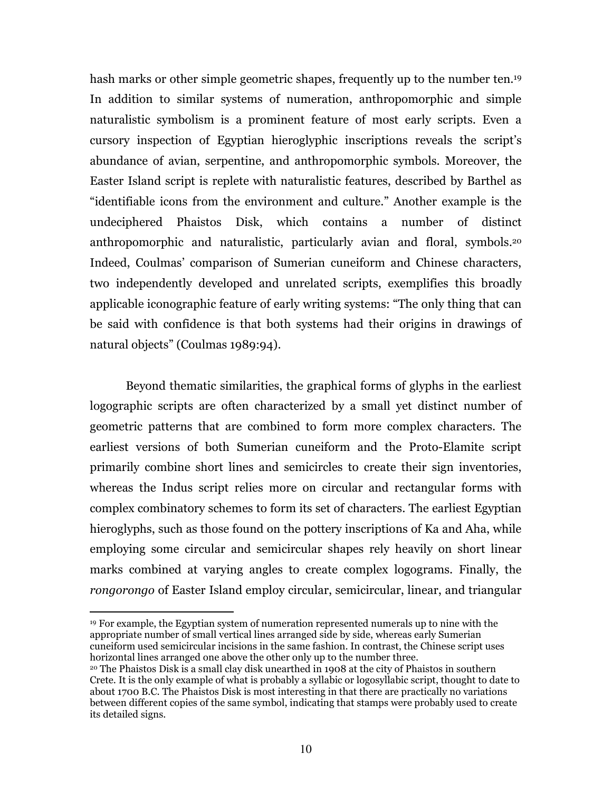hash marks or other simple geometric shapes, frequently up to the number ten.<sup>19</sup> In addition to similar systems of numeration, anthropomorphic and simple naturalistic symbolism is a prominent feature of most early scripts. Even a cursory inspection of Egyptian hieroglyphic inscriptions reveals the script's abundance of avian, serpentine, and anthropomorphic symbols. Moreover, the Easter Island script is replete with naturalistic features, described by Barthel as "identifiable icons from the environment and culture." Another example is the undeciphered Phaistos Disk, which contains a number of distinct anthropomorphic and naturalistic, particularly avian and floral, symbols.<sup>20</sup> Indeed, Coulmas' comparison of Sumerian cuneiform and Chinese characters, two independently developed and unrelated scripts, exemplifies this broadly applicable iconographic feature of early writing systems: "The only thing that can be said with confidence is that both systems had their origins in drawings of natural objects" (Coulmas 1989:94).

Beyond thematic similarities, the graphical forms of glyphs in the earliest logographic scripts are often characterized by a small yet distinct number of geometric patterns that are combined to form more complex characters. The earliest versions of both Sumerian cuneiform and the Proto-Elamite script primarily combine short lines and semicircles to create their sign inventories, whereas the Indus script relies more on circular and rectangular forms with complex combinatory schemes to form its set of characters. The earliest Egyptian hieroglyphs, such as those found on the pottery inscriptions of Ka and Aha, while employing some circular and semicircular shapes rely heavily on short linear marks combined at varying angles to create complex logograms. Finally, the rongorongo of Easter Island employ circular, semicircular, linear, and triangular

<sup>19</sup> For example, the Egyptian system of numeration represented numerals up to nine with the appropriate number of small vertical lines arranged side by side, whereas early Sumerian cuneiform used semicircular incisions in the same fashion. In contrast, the Chinese script uses horizontal lines arranged one above the other only up to the number three.

<sup>20</sup> The Phaistos Disk is a small clay disk unearthed in 1908 at the city of Phaistos in southern Crete. It is the only example of what is probably a syllabic or logosyllabic script, thought to date to about 1700 B.C. The Phaistos Disk is most interesting in that there are practically no variations between different copies of the same symbol, indicating that stamps were probably used to create its detailed signs.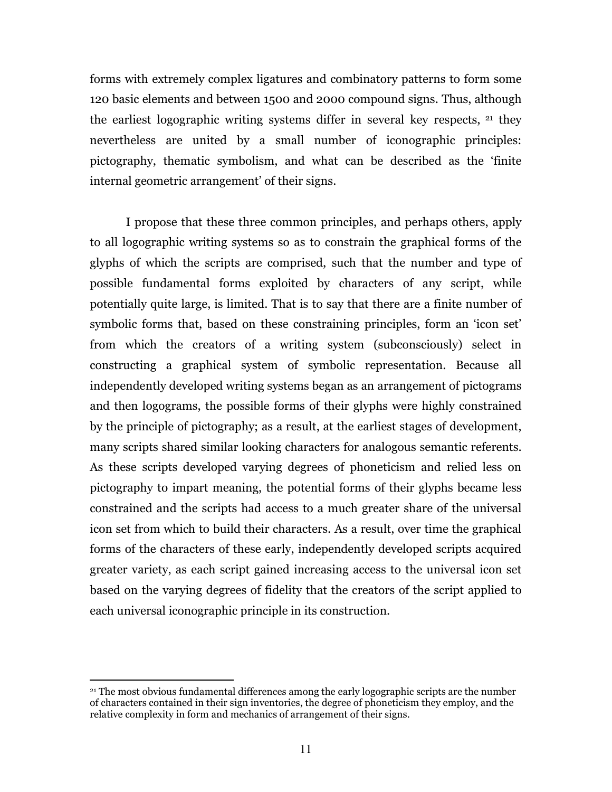forms with extremely complex ligatures and combinatory patterns to form some 120 basic elements and between 1500 and 2000 compound signs. Thus, although the earliest logographic writing systems differ in several key respects, 21 they nevertheless are united by a small number of iconographic principles: pictography, thematic symbolism, and what can be described as the 'finite internal geometric arrangement' of their signs.

I propose that these three common principles, and perhaps others, apply to all logographic writing systems so as to constrain the graphical forms of the glyphs of which the scripts are comprised, such that the number and type of possible fundamental forms exploited by characters of any script, while potentially quite large, is limited. That is to say that there are a finite number of symbolic forms that, based on these constraining principles, form an 'icon set' from which the creators of a writing system (subconsciously) select in constructing a graphical system of symbolic representation. Because all independently developed writing systems began as an arrangement of pictograms and then logograms, the possible forms of their glyphs were highly constrained by the principle of pictography; as a result, at the earliest stages of development, many scripts shared similar looking characters for analogous semantic referents. As these scripts developed varying degrees of phoneticism and relied less on pictography to impart meaning, the potential forms of their glyphs became less constrained and the scripts had access to a much greater share of the universal icon set from which to build their characters. As a result, over time the graphical forms of the characters of these early, independently developed scripts acquired greater variety, as each script gained increasing access to the universal icon set based on the varying degrees of fidelity that the creators of the script applied to each universal iconographic principle in its construction.

<sup>21</sup> The most obvious fundamental differences among the early logographic scripts are the number of characters contained in their sign inventories, the degree of phoneticism they employ, and the relative complexity in form and mechanics of arrangement of their signs.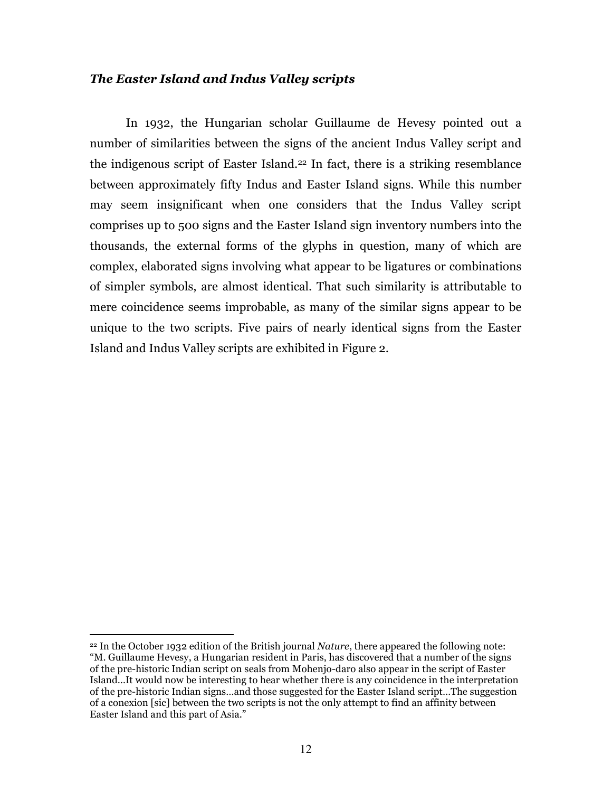## The Easter Island and Indus Valley scripts

In 1932, the Hungarian scholar Guillaume de Hevesy pointed out a number of similarities between the signs of the ancient Indus Valley script and the indigenous script of Easter Island.22 In fact, there is a striking resemblance between approximately fifty Indus and Easter Island signs. While this number may seem insignificant when one considers that the Indus Valley script comprises up to 500 signs and the Easter Island sign inventory numbers into the thousands, the external forms of the glyphs in question, many of which are complex, elaborated signs involving what appear to be ligatures or combinations of simpler symbols, are almost identical. That such similarity is attributable to mere coincidence seems improbable, as many of the similar signs appear to be unique to the two scripts. Five pairs of nearly identical signs from the Easter Island and Indus Valley scripts are exhibited in Figure 2.

 $22$  In the October 1932 edition of the British journal *Nature*, there appeared the following note: "M. Guillaume Hevesy, a Hungarian resident in Paris, has discovered that a number of the signs of the pre-historic Indian script on seals from Mohenjo-daro also appear in the script of Easter Island…It would now be interesting to hear whether there is any coincidence in the interpretation of the pre-historic Indian signs…and those suggested for the Easter Island script…The suggestion of a conexion [sic] between the two scripts is not the only attempt to find an affinity between Easter Island and this part of Asia."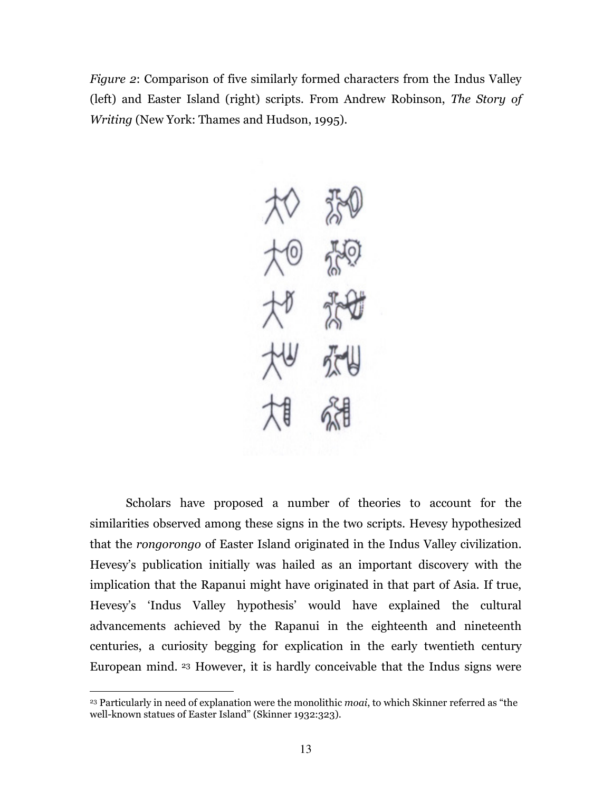Figure 2: Comparison of five similarly formed characters from the Indus Valley (left) and Easter Island (right) scripts. From Andrew Robinson, The Story of Writing (New York: Thames and Hudson, 1995).



Scholars have proposed a number of theories to account for the similarities observed among these signs in the two scripts. Hevesy hypothesized that the rongorongo of Easter Island originated in the Indus Valley civilization. Hevesy's publication initially was hailed as an important discovery with the implication that the Rapanui might have originated in that part of Asia. If true, Hevesy's 'Indus Valley hypothesis' would have explained the cultural advancements achieved by the Rapanui in the eighteenth and nineteenth centuries, a curiosity begging for explication in the early twentieth century European mind. 23 However, it is hardly conceivable that the Indus signs were

<sup>&</sup>lt;sup>23</sup> Particularly in need of explanation were the monolithic *moai*, to which Skinner referred as "the well-known statues of Easter Island" (Skinner 1932:323).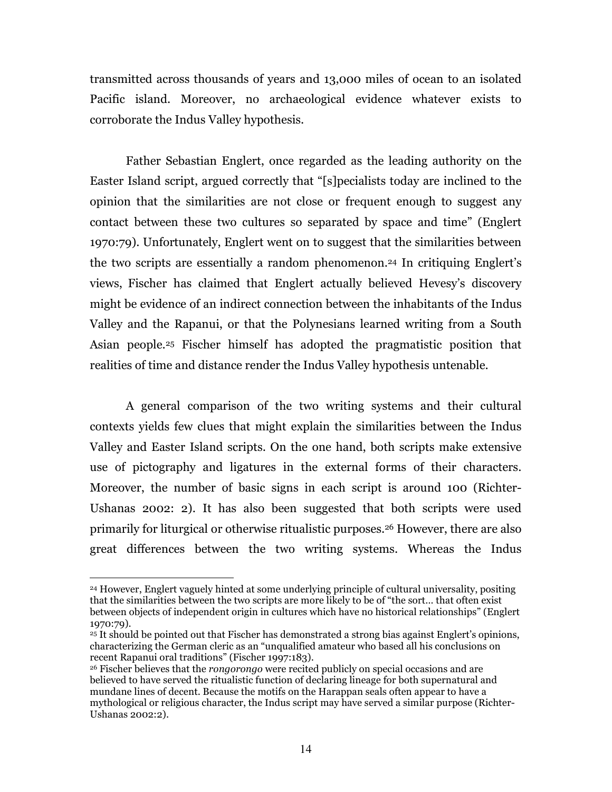transmitted across thousands of years and 13,000 miles of ocean to an isolated Pacific island. Moreover, no archaeological evidence whatever exists to corroborate the Indus Valley hypothesis.

Father Sebastian Englert, once regarded as the leading authority on the Easter Island script, argued correctly that "[s]pecialists today are inclined to the opinion that the similarities are not close or frequent enough to suggest any contact between these two cultures so separated by space and time" (Englert 1970:79). Unfortunately, Englert went on to suggest that the similarities between the two scripts are essentially a random phenomenon. <sup>24</sup> In critiquing Englert's views, Fischer has claimed that Englert actually believed Hevesy's discovery might be evidence of an indirect connection between the inhabitants of the Indus Valley and the Rapanui, or that the Polynesians learned writing from a South Asian people.25 Fischer himself has adopted the pragmatistic position that realities of time and distance render the Indus Valley hypothesis untenable.

A general comparison of the two writing systems and their cultural contexts yields few clues that might explain the similarities between the Indus Valley and Easter Island scripts. On the one hand, both scripts make extensive use of pictography and ligatures in the external forms of their characters. Moreover, the number of basic signs in each script is around 100 (Richter-Ushanas 2002: 2). It has also been suggested that both scripts were used primarily for liturgical or otherwise ritualistic purposes.26 However, there are also great differences between the two writing systems. Whereas the Indus

<sup>24</sup> However, Englert vaguely hinted at some underlying principle of cultural universality, positing that the similarities between the two scripts are more likely to be of "the sort… that often exist between objects of independent origin in cultures which have no historical relationships" (Englert 1970:79).

<sup>25</sup> It should be pointed out that Fischer has demonstrated a strong bias against Englert's opinions, characterizing the German cleric as an "unqualified amateur who based all his conclusions on recent Rapanui oral traditions" (Fischer 1997:183).

<sup>&</sup>lt;sup>26</sup> Fischer believes that the *rongorongo* were recited publicly on special occasions and are believed to have served the ritualistic function of declaring lineage for both supernatural and mundane lines of decent. Because the motifs on the Harappan seals often appear to have a mythological or religious character, the Indus script may have served a similar purpose (Richter-Ushanas 2002:2).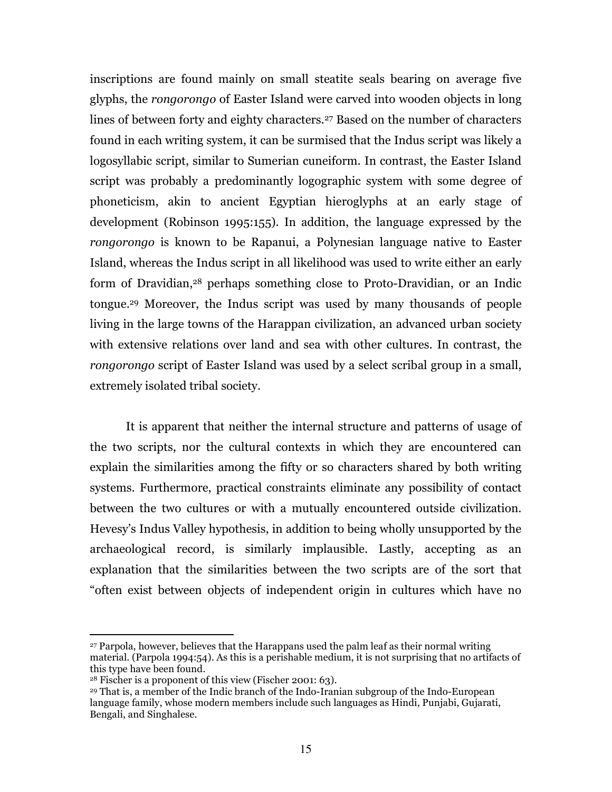inscriptions are found mainly on small steatite seals bearing on average five glyphs, the rongorongo of Easter Island were carved into wooden objects in long lines of between forty and eighty characters.<sup>27</sup> Based on the number of characters found in each writing system, it can be surmised that the Indus script was likely a logosyllabic script, similar to Sumerian cuneiform. In contrast, the Easter Island script was probably a predominantly logographic system with some degree of phoneticism, akin to ancient Egyptian hieroglyphs at an early stage of development (Robinson 1995:155). In addition, the language expressed by the rongorongo is known to be Rapanui, a Polynesian language native to Easter Island, whereas the Indus script in all likelihood was used to write either an early form of Dravidian,28 perhaps something close to Proto-Dravidian, or an Indic tongue.29 Moreover, the Indus script was used by many thousands of people living in the large towns of the Harappan civilization, an advanced urban society with extensive relations over land and sea with other cultures. In contrast, the rongorongo script of Easter Island was used by a select scribal group in a small, extremely isolated tribal society.

It is apparent that neither the internal structure and patterns of usage of the two scripts, nor the cultural contexts in which they are encountered can explain the similarities among the fifty or so characters shared by both writing systems. Furthermore, practical constraints eliminate any possibility of contact between the two cultures or with a mutually encountered outside civilization. Hevesy's Indus Valley hypothesis, in addition to being wholly unsupported by the archaeological record, is similarly implausible. Lastly, accepting as an explanation that the similarities between the two scripts are of the sort that "often exist between objects of independent origin in cultures which have no

<sup>27</sup> Parpola, however, believes that the Harappans used the palm leaf as their normal writing material. (Parpola 1994:54). As this is a perishable medium, it is not surprising that no artifacts of this type have been found.

 $28$  Fischer is a proponent of this view (Fischer 2001: 63).

<sup>29</sup> That is, a member of the Indic branch of the Indo-Iranian subgroup of the Indo-European language family, whose modern members include such languages as Hindi, Punjabi, Gujarati, Bengali, and Singhalese.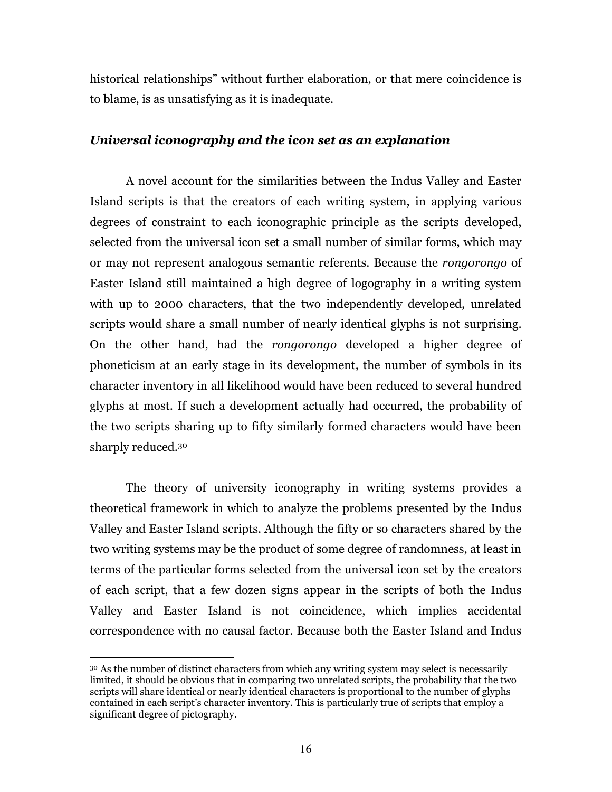historical relationships" without further elaboration, or that mere coincidence is to blame, is as unsatisfying as it is inadequate.

## Universal iconography and the icon set as an explanation

A novel account for the similarities between the Indus Valley and Easter Island scripts is that the creators of each writing system, in applying various degrees of constraint to each iconographic principle as the scripts developed, selected from the universal icon set a small number of similar forms, which may or may not represent analogous semantic referents. Because the rongorongo of Easter Island still maintained a high degree of logography in a writing system with up to 2000 characters, that the two independently developed, unrelated scripts would share a small number of nearly identical glyphs is not surprising. On the other hand, had the rongorongo developed a higher degree of phoneticism at an early stage in its development, the number of symbols in its character inventory in all likelihood would have been reduced to several hundred glyphs at most. If such a development actually had occurred, the probability of the two scripts sharing up to fifty similarly formed characters would have been sharply reduced.<sup>30</sup>

The theory of university iconography in writing systems provides a theoretical framework in which to analyze the problems presented by the Indus Valley and Easter Island scripts. Although the fifty or so characters shared by the two writing systems may be the product of some degree of randomness, at least in terms of the particular forms selected from the universal icon set by the creators of each script, that a few dozen signs appear in the scripts of both the Indus Valley and Easter Island is not coincidence, which implies accidental correspondence with no causal factor. Because both the Easter Island and Indus

<sup>&</sup>lt;sup>30</sup> As the number of distinct characters from which any writing system may select is necessarily limited, it should be obvious that in comparing two unrelated scripts, the probability that the two scripts will share identical or nearly identical characters is proportional to the number of glyphs contained in each script's character inventory. This is particularly true of scripts that employ a significant degree of pictography.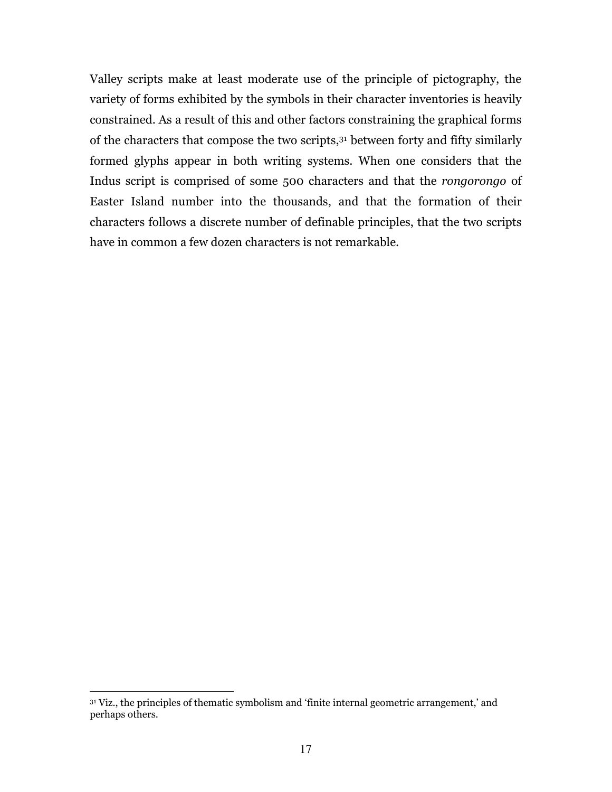Valley scripts make at least moderate use of the principle of pictography, the variety of forms exhibited by the symbols in their character inventories is heavily constrained. As a result of this and other factors constraining the graphical forms of the characters that compose the two scripts,31 between forty and fifty similarly formed glyphs appear in both writing systems. When one considers that the Indus script is comprised of some 500 characters and that the rongorongo of Easter Island number into the thousands, and that the formation of their characters follows a discrete number of definable principles, that the two scripts have in common a few dozen characters is not remarkable.

<sup>&</sup>lt;sup>31</sup> Viz., the principles of thematic symbolism and 'finite internal geometric arrangement,' and perhaps others.